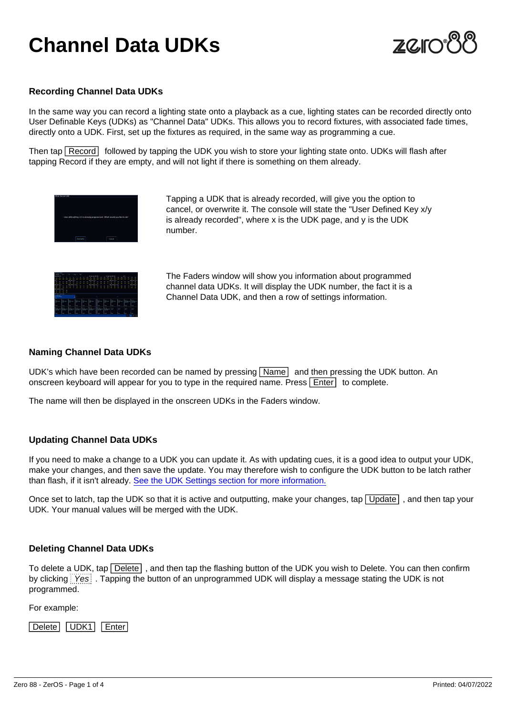# Channel Data UDKs

### Recording Channel Data UDKs

In the same way you can record a lighting state onto a playback as a cue, lighting states can be recorded directly onto User Definable Keys (UDKs) as "Channel Data" UDKs. This allows you to record fixtures, with associated fade times, directly onto a UDK. First, set up the fixtures as required, in the same way as programming a cue.

Then tap Record followed by tapping the UDK you wish to store your lighting state onto. UDKs will flash after tapping Record if they are empty, and will not light if there is something on them already.

> Tapping a UDK that is already recorded, will give you the option to cancel, or overwrite it. The console will state the "User Defined Key x/y is already recorded", where x is the UDK page, and y is the UDK number.

The Faders window will show you information about programmed channel data UDKs. It will display the UDK number, the fact it is a Channel Data UDK, and then a row of settings information.

### Naming Channel Data UDKs

UDK's which have been recorded can be named by pressing Name and then pressing the UDK button. An onscreen keyboard will appear for you to type in the required name. Press  $\overline{\text{Enter}}$  to complete.

The name will then be displayed in the onscreen UDKs in the Faders window.

### Updating Channel Data UDKs

If you need to make a change to a UDK you can update it. As with updating cues, it is a good idea to output your UDK, make your changes, and then save the update. You may therefore wish to configure the UDK button to be latch rather than flash, if it isn't already. [See the UDK Settings section for more information.](/manuals/zeros/user-definable-keys/channel-data-udks/udk-settings)

Once set to latch, tap the UDK so that it is active and outputting, make your changes, tap  $\overline{\bigcup_{\text{D}}}\overline{\bigcup_{\text{p}}}\overline{\bigcup_{\text{p}}}\overline{\bigcup_{\text{p}}}\overline{\bigcup_{\text{p}}}\overline{\bigcup_{\text{p}}}\overline{\bigcup_{\text{p}}}\overline{\bigcup_{\text{p}}}\overline{\bigcup_{\text{p}}}\overline{\bigcup_{\text{p}}}\overline{\bigcup_{\text$ UDK. Your manual values will be merged with the UDK.

### Deleting Channel Data UDKs

To delete a UDK, tap Delete , and then tap the flashing button of the UDK you wish to Delete. You can then confirm by clicking Yes . Tapping the button of an unprogrammed UDK will display a message stating the UDK is not programmed.

For example:

Delete UDK1 Enter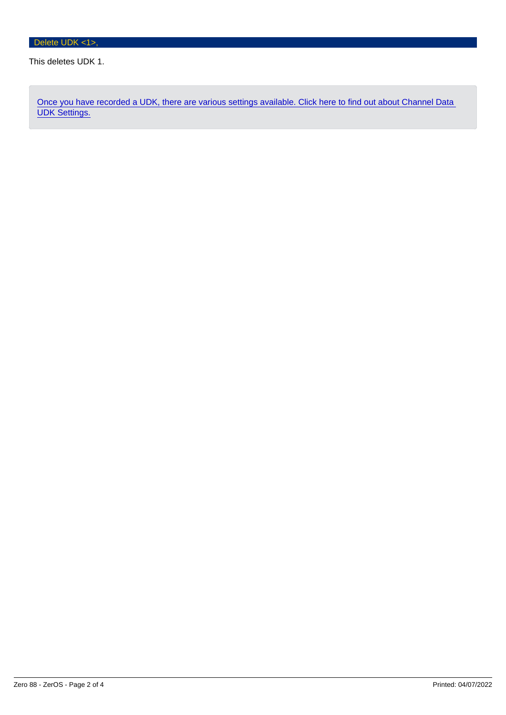### This deletes UDK 1.

[Once you have recorded a UDK, there are various settings available. Click here to find out about Channel Data](/manuals/zeros/user-definable-keys/channel-data-udks/udk-settings)  [UDK Settings.](/manuals/zeros/user-definable-keys/channel-data-udks/udk-settings)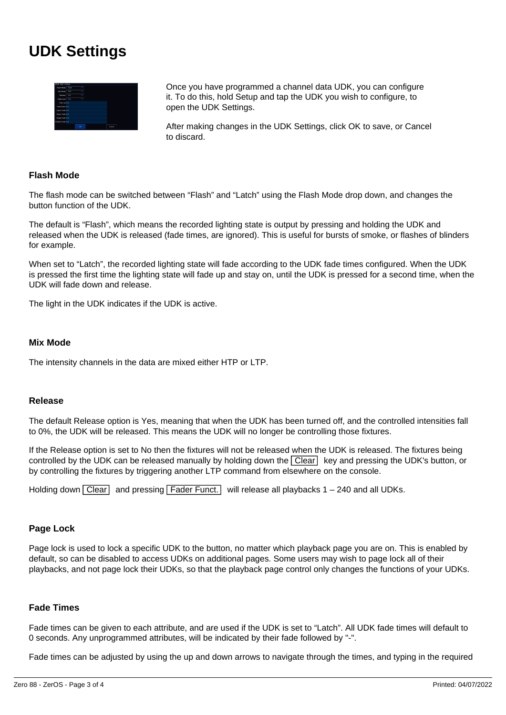## **UDK Settings**



Once you have programmed a channel data UDK, you can configure it. To do this, hold Setup and tap the UDK you wish to configure, to open the UDK Settings.

After making changes in the UDK Settings, click OK to save, or Cancel to discard.

### **Flash Mode**

The flash mode can be switched between "Flash" and "Latch" using the Flash Mode drop down, and changes the button function of the UDK.

The default is "Flash", which means the recorded lighting state is output by pressing and holding the UDK and released when the UDK is released (fade times, are ignored). This is useful for bursts of smoke, or flashes of blinders for example.

When set to "Latch", the recorded lighting state will fade according to the UDK fade times configured. When the UDK is pressed the first time the lighting state will fade up and stay on, until the UDK is pressed for a second time, when the UDK will fade down and release.

The light in the UDK indicates if the UDK is active.

### **Mix Mode**

The intensity channels in the data are mixed either HTP or LTP.

### **Release**

The default Release option is Yes, meaning that when the UDK has been turned off, and the controlled intensities fall to 0%, the UDK will be released. This means the UDK will no longer be controlling those fixtures.

If the Release option is set to No then the fixtures will not be released when the UDK is released. The fixtures being controlled by the UDK can be released manually by holding down the Clear key and pressing the UDK's button, or by controlling the fixtures by triggering another LTP command from elsewhere on the console.

Holding down  $\overline{Clear}$  and pressing  $\overline{Fader$  Funct. will release all playbacks 1 – 240 and all UDKs.

### **Page Lock**

Page lock is used to lock a specific UDK to the button, no matter which playback page you are on. This is enabled by default, so can be disabled to access UDKs on additional pages. Some users may wish to page lock all of their playbacks, and not page lock their UDKs, so that the playback page control only changes the functions of your UDKs.

### **Fade Times**

Fade times can be given to each attribute, and are used if the UDK is set to "Latch". All UDK fade times will default to 0 seconds. Any unprogrammed attributes, will be indicated by their fade followed by "-".

Fade times can be adjusted by using the up and down arrows to navigate through the times, and typing in the required